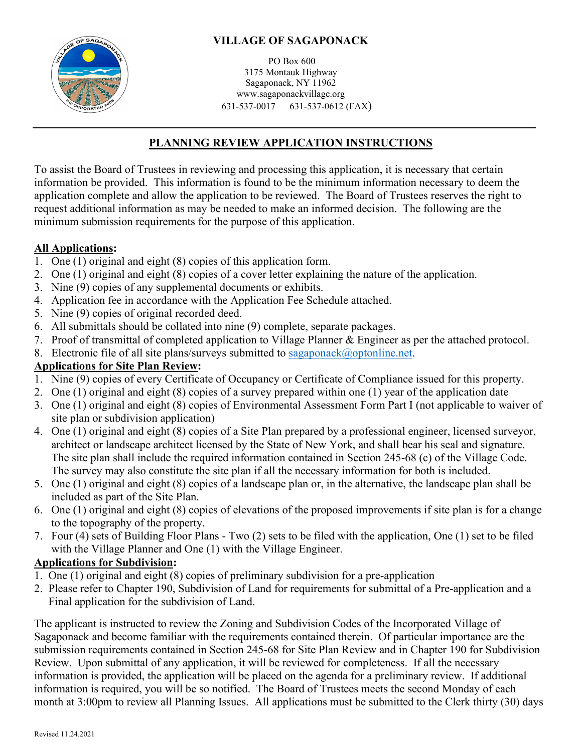

PO Box 600 3175 Montauk Highway Sagaponack, NY 11962 www.sagaponackvillage.org 631-537-0017 631-537-0612 (FAX)

# **PLANNING REVIEW APPLICATION INSTRUCTIONS**

To assist the Board of Trustees in reviewing and processing this application, it is necessary that certain information be provided. This information is found to be the minimum information necessary to deem the application complete and allow the application to be reviewed. The Board of Trustees reserves the right to request additional information as may be needed to make an informed decision. The following are the minimum submission requirements for the purpose of this application.

### **All Applications:**

- 1. One (1) original and eight (8) copies of this application form.
- 2. One (1) original and eight (8) copies of a cover letter explaining the nature of the application.
- 3. Nine (9) copies of any supplemental documents or exhibits.
- 4. Application fee in accordance with the Application Fee Schedule attached.
- 5. Nine (9) copies of original recorded deed.
- 6. All submittals should be collated into nine (9) complete, separate packages.
- 7. Proof of transmittal of completed application to Village Planner & Engineer as per the attached protocol.
- 8. Electronic file of all site plans/surveys submitted to [sagaponack@optonline.net.](mailto:sagaponack@optonline.net)

## **Applications for Site Plan Review:**

- 1. Nine (9) copies of every Certificate of Occupancy or Certificate of Compliance issued for this property.
- 2. One (1) original and eight (8) copies of a survey prepared within one (1) year of the application date
- 3. One (1) original and eight (8) copies of Environmental Assessment Form Part I (not applicable to waiver of site plan or subdivision application)
- 4. One (1) original and eight (8) copies of a Site Plan prepared by a professional engineer, licensed surveyor, architect or landscape architect licensed by the State of New York, and shall bear his seal and signature. The site plan shall include the required information contained in Section 245-68 (c) of the Village Code. The survey may also constitute the site plan if all the necessary information for both is included.
- 5. One (1) original and eight (8) copies of a landscape plan or, in the alternative, the landscape plan shall be included as part of the Site Plan.
- 6. One (1) original and eight (8) copies of elevations of the proposed improvements if site plan is for a change to the topography of the property.
- 7. Four (4) sets of Building Floor Plans Two (2) sets to be filed with the application, One (1) set to be filed with the Village Planner and One (1) with the Village Engineer.

## **Applications for Subdivision:**

- 1. One (1) original and eight (8) copies of preliminary subdivision for a pre-application
- 2. Please refer to Chapter 190, Subdivision of Land for requirements for submittal of a Pre-application and a Final application for the subdivision of Land.

The applicant is instructed to review the Zoning and Subdivision Codes of the Incorporated Village of Sagaponack and become familiar with the requirements contained therein. Of particular importance are the submission requirements contained in Section 245-68 for Site Plan Review and in Chapter 190 for Subdivision Review. Upon submittal of any application, it will be reviewed for completeness. If all the necessary information is provided, the application will be placed on the agenda for a preliminary review. If additional information is required, you will be so notified. The Board of Trustees meets the second Monday of each month at 3:00pm to review all Planning Issues. All applications must be submitted to the Clerk thirty (30) days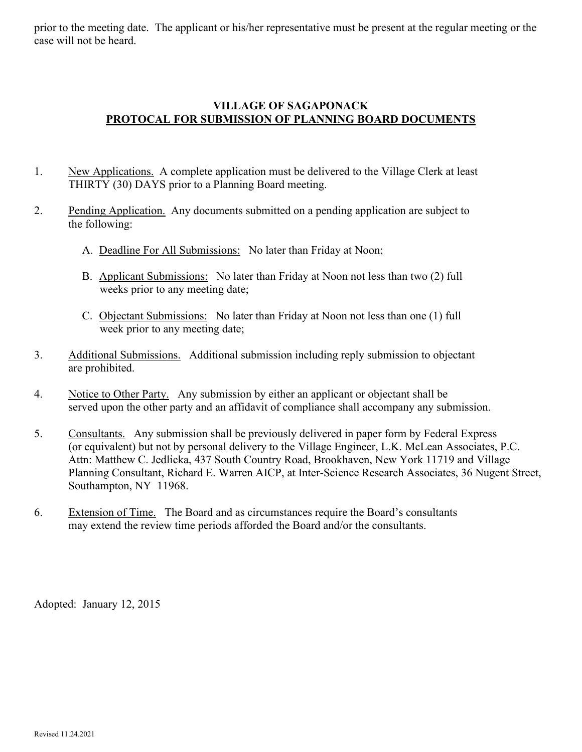prior to the meeting date. The applicant or his/her representative must be present at the regular meeting or the case will not be heard.

#### **VILLAGE OF SAGAPONACK PROTOCAL FOR SUBMISSION OF PLANNING BOARD DOCUMENTS**

- 1. New Applications. A complete application must be delivered to the Village Clerk at least THIRTY (30) DAYS prior to a Planning Board meeting.
- 2. Pending Application. Any documents submitted on a pending application are subject to the following:
	- A. Deadline For All Submissions: No later than Friday at Noon;
	- B. Applicant Submissions: No later than Friday at Noon not less than two (2) full weeks prior to any meeting date;
	- C. Objectant Submissions: No later than Friday at Noon not less than one (1) full week prior to any meeting date;
- 3. Additional Submissions. Additional submission including reply submission to objectant are prohibited.
- 4. Notice to Other Party. Any submission by either an applicant or objectant shall be served upon the other party and an affidavit of compliance shall accompany any submission.
- 5. Consultants. Any submission shall be previously delivered in paper form by Federal Express (or equivalent) but not by personal delivery to the Village Engineer, L.K. McLean Associates, P.C. Attn: Matthew C. Jedlicka, 437 South Country Road, Brookhaven, New York 11719 and Village Planning Consultant, Richard E. Warren AICP, at Inter-Science Research Associates, 36 Nugent Street, Southampton, NY 11968.
- 6. Extension of Time. The Board and as circumstances require the Board's consultants may extend the review time periods afforded the Board and/or the consultants.

Adopted: January 12, 2015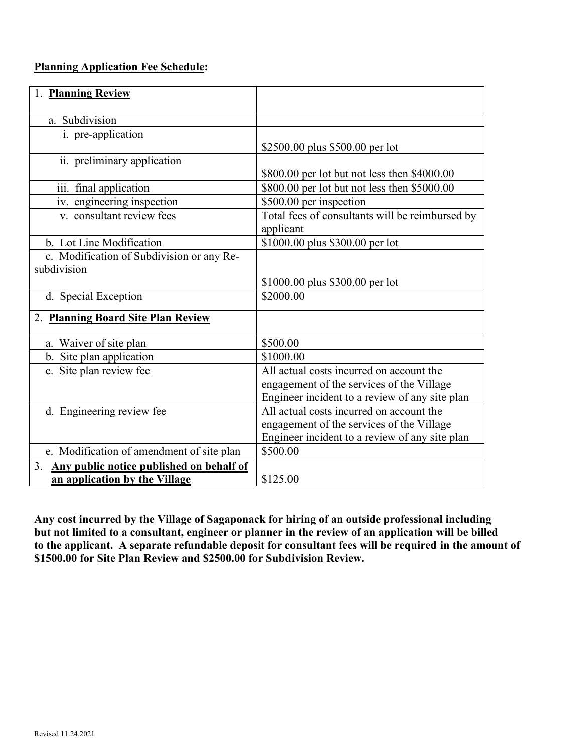### **Planning Application Fee Schedule:**

| <b>Planning Review</b>                         |                                                 |
|------------------------------------------------|-------------------------------------------------|
| a. Subdivision                                 |                                                 |
|                                                |                                                 |
| i. pre-application                             |                                                 |
|                                                | \$2500.00 plus \$500.00 per lot                 |
| ii. preliminary application                    |                                                 |
|                                                | \$800.00 per lot but not less then \$4000.00    |
| iii. final application                         | \$800.00 per lot but not less then \$5000.00    |
| iv. engineering inspection                     | \$500.00 per inspection                         |
| v. consultant review fees                      | Total fees of consultants will be reimbursed by |
|                                                | applicant                                       |
| b. Lot Line Modification                       | \$1000.00 plus \$300.00 per lot                 |
| c. Modification of Subdivision or any Re-      |                                                 |
| subdivision                                    |                                                 |
|                                                | \$1000.00 plus \$300.00 per lot                 |
| d. Special Exception                           | \$2000.00                                       |
|                                                |                                                 |
| 2. Planning Board Site Plan Review             |                                                 |
| a. Waiver of site plan                         | \$500.00                                        |
| b. Site plan application                       | \$1000.00                                       |
| c. Site plan review fee                        | All actual costs incurred on account the        |
|                                                | engagement of the services of the Village       |
|                                                | Engineer incident to a review of any site plan  |
| d. Engineering review fee                      | All actual costs incurred on account the        |
|                                                | engagement of the services of the Village       |
|                                                | Engineer incident to a review of any site plan  |
|                                                |                                                 |
| e. Modification of amendment of site plan      | \$500.00                                        |
| Any public notice published on behalf of<br>3. |                                                 |
| an application by the Village                  | \$125.00                                        |

**Any cost incurred by the Village of Sagaponack for hiring of an outside professional including**  but not limited to a consultant, engineer or planner in the review of an application will be billed **to the applicant. A separate refundable deposit for consultant fees will be required in the amount of \$1500.00 for Site Plan Review and \$2500.00 for Subdivision Review.**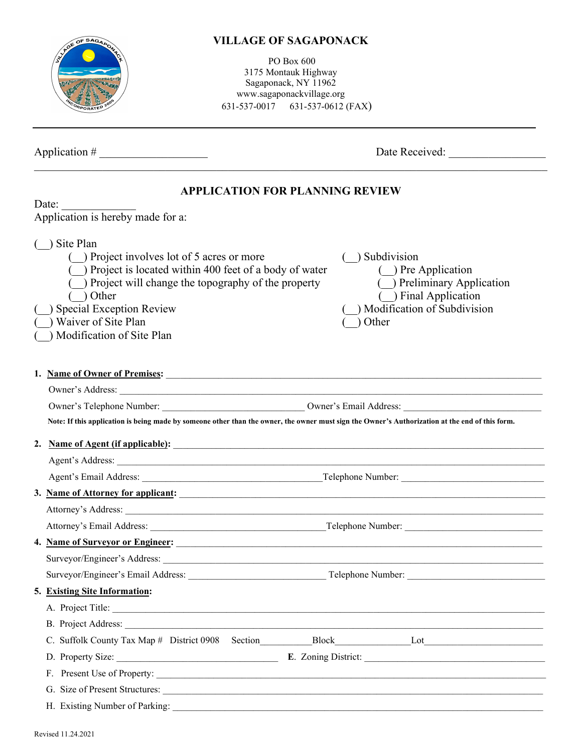PO Box 600 3175 Montauk Highway Sagaponack, NY 11962 www.sagaponackvillage.org 631-537-0017 631-537-0612 (FAX)

Application # \_\_\_\_\_\_\_\_\_\_\_\_\_\_\_\_\_\_\_ Date Received: \_\_\_\_\_\_\_\_\_\_\_\_\_\_\_\_\_

### **APPLICATION FOR PLANNING REVIEW**

|    | Date:                                                                                                                                                                                                                                                                                                                                                                                                                        |
|----|------------------------------------------------------------------------------------------------------------------------------------------------------------------------------------------------------------------------------------------------------------------------------------------------------------------------------------------------------------------------------------------------------------------------------|
|    | Application is hereby made for a:                                                                                                                                                                                                                                                                                                                                                                                            |
|    | $( )$ Site Plan<br>$($ ) Project involves lot of 5 acres or more<br>) Subdivision<br>$($ ) Project is located within 400 feet of a body of water<br>( ) Pre Application<br>Preliminary Application<br>) Project will change the topography of the property<br>( ) Final Application<br>Other<br>Modification of Subdivision<br>) Special Exception Review<br>) Waiver of Site Plan<br>) Other<br>) Modification of Site Plan |
|    | 1. Name of Owner of Premises:                                                                                                                                                                                                                                                                                                                                                                                                |
|    | Owner's Address:                                                                                                                                                                                                                                                                                                                                                                                                             |
|    |                                                                                                                                                                                                                                                                                                                                                                                                                              |
|    | Note: If this application is being made by someone other than the owner, the owner must sign the Owner's Authorization at the end of this form.                                                                                                                                                                                                                                                                              |
| 2. | Name of Agent (if applicable): <u>contained</u> and a set of a political contained a set of a political contained and a set of a political contained and a set of a political contained and a set of a political contained and a se                                                                                                                                                                                          |
|    |                                                                                                                                                                                                                                                                                                                                                                                                                              |
|    |                                                                                                                                                                                                                                                                                                                                                                                                                              |
|    | 3. Name of Attorney for applicant:                                                                                                                                                                                                                                                                                                                                                                                           |
|    |                                                                                                                                                                                                                                                                                                                                                                                                                              |
|    |                                                                                                                                                                                                                                                                                                                                                                                                                              |
|    | 4. Name of Surveyor or Engineer:                                                                                                                                                                                                                                                                                                                                                                                             |
|    |                                                                                                                                                                                                                                                                                                                                                                                                                              |
|    |                                                                                                                                                                                                                                                                                                                                                                                                                              |
|    | 5. Existing Site Information:                                                                                                                                                                                                                                                                                                                                                                                                |
|    | A. Project Title:                                                                                                                                                                                                                                                                                                                                                                                                            |
|    | B. Project Address:                                                                                                                                                                                                                                                                                                                                                                                                          |
|    |                                                                                                                                                                                                                                                                                                                                                                                                                              |
|    |                                                                                                                                                                                                                                                                                                                                                                                                                              |
|    | F. Present Use of Property:                                                                                                                                                                                                                                                                                                                                                                                                  |
|    | G. Size of Present Structures:                                                                                                                                                                                                                                                                                                                                                                                               |
|    |                                                                                                                                                                                                                                                                                                                                                                                                                              |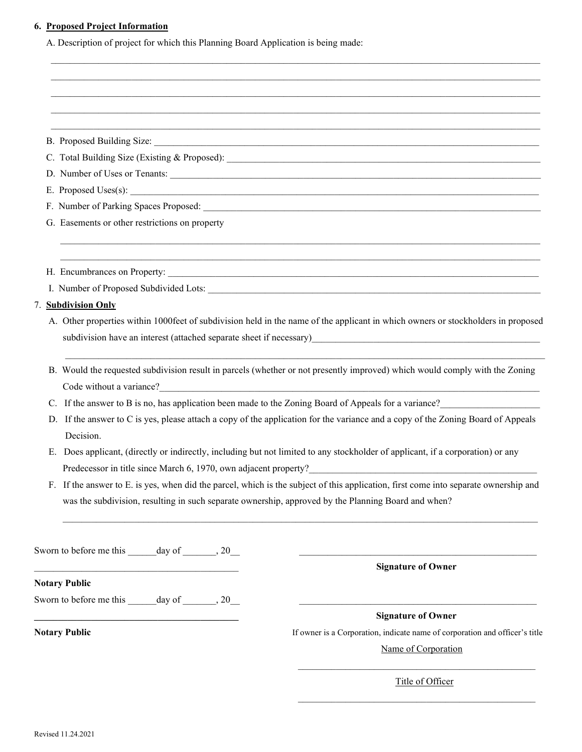#### **6. Proposed Project Information**

A. Description of project for which this Planning Board Application is being made:

| S <sub>1</sub> ze:<br>Proposed Building |  |
|-----------------------------------------|--|
|-----------------------------------------|--|

C. Total Building Size (Existing & Proposed):

- D. Number of Uses or Tenants:
- E. Proposed  $Uses(s)$ :
- F. Number of Parking Spaces Proposed:
- G. Easements or other restrictions on property
- H. Encumbrances on Property:
- I. Number of Proposed Subdivided Lots:

#### 7. **Subdivision Only**

A. Other properties within 1000feet of subdivision held in the name of the applicant in which owners or stockholders in proposed subdivision have an interest (attached separate sheet if necessary)

 $\mathcal{L}_\mathcal{L} = \mathcal{L}_\mathcal{L} = \mathcal{L}_\mathcal{L} = \mathcal{L}_\mathcal{L} = \mathcal{L}_\mathcal{L} = \mathcal{L}_\mathcal{L} = \mathcal{L}_\mathcal{L} = \mathcal{L}_\mathcal{L} = \mathcal{L}_\mathcal{L} = \mathcal{L}_\mathcal{L} = \mathcal{L}_\mathcal{L} = \mathcal{L}_\mathcal{L} = \mathcal{L}_\mathcal{L} = \mathcal{L}_\mathcal{L} = \mathcal{L}_\mathcal{L} = \mathcal{L}_\mathcal{L} = \mathcal{L}_\mathcal{L}$  $\mathcal{L}_\text{max}$  , and the set of the set of the set of the set of the set of the set of the set of the set of the set of the set of the set of the set of the set of the set of the set of the set of the set of the set of the

 $\frac{1}{2}$  ,  $\frac{1}{2}$  ,  $\frac{1}{2}$  ,  $\frac{1}{2}$  ,  $\frac{1}{2}$  ,  $\frac{1}{2}$  ,  $\frac{1}{2}$  ,  $\frac{1}{2}$  ,  $\frac{1}{2}$  ,  $\frac{1}{2}$  ,  $\frac{1}{2}$  ,  $\frac{1}{2}$  ,  $\frac{1}{2}$  ,  $\frac{1}{2}$  ,  $\frac{1}{2}$  ,  $\frac{1}{2}$  ,  $\frac{1}{2}$  ,  $\frac{1}{2}$  ,  $\frac{1$  $\frac{1}{2}$  ,  $\frac{1}{2}$  ,  $\frac{1}{2}$  ,  $\frac{1}{2}$  ,  $\frac{1}{2}$  ,  $\frac{1}{2}$  ,  $\frac{1}{2}$  ,  $\frac{1}{2}$  ,  $\frac{1}{2}$  ,  $\frac{1}{2}$  ,  $\frac{1}{2}$  ,  $\frac{1}{2}$  ,  $\frac{1}{2}$  ,  $\frac{1}{2}$  ,  $\frac{1}{2}$  ,  $\frac{1}{2}$  ,  $\frac{1}{2}$  ,  $\frac{1}{2}$  ,  $\frac{1$  $\mathcal{L}_\text{max}$  and the state of the state of the state of the state of the state of the state of the state of the state of the state of the state of the state of the state of the state of the state of the state of the stat  $\mathcal{L}_\text{max}$  and  $\mathcal{L}_\text{max}$  and  $\mathcal{L}_\text{max}$  and  $\mathcal{L}_\text{max}$  and  $\mathcal{L}_\text{max}$  and  $\mathcal{L}_\text{max}$  and  $\mathcal{L}_\text{max}$  $\mathcal{L}_\text{max}$  , and the set of the set of the set of the set of the set of the set of the set of the set of the set of the set of the set of the set of the set of the set of the set of the set of the set of the set of the

 B. Would the requested subdivision result in parcels (whether or not presently improved) which would comply with the Zoning Code without a variance?

 $\mathcal{L}_\mathcal{L} = \mathcal{L}_\mathcal{L} = \mathcal{L}_\mathcal{L} = \mathcal{L}_\mathcal{L} = \mathcal{L}_\mathcal{L} = \mathcal{L}_\mathcal{L} = \mathcal{L}_\mathcal{L} = \mathcal{L}_\mathcal{L} = \mathcal{L}_\mathcal{L} = \mathcal{L}_\mathcal{L} = \mathcal{L}_\mathcal{L} = \mathcal{L}_\mathcal{L} = \mathcal{L}_\mathcal{L} = \mathcal{L}_\mathcal{L} = \mathcal{L}_\mathcal{L} = \mathcal{L}_\mathcal{L} = \mathcal{L}_\mathcal{L}$ 

- C. If the answer to B is no, has application been made to the Zoning Board of Appeals for a variance?
- D. If the answer to C is yes, please attach a copy of the application for the variance and a copy of the Zoning Board of Appeals Decision.
- E. Does applicant, (directly or indirectly, including but not limited to any stockholder of applicant, if a corporation) or any Predecessor in title since March 6, 1970, own adjacent property?

 $\mathcal{L}_\mathcal{L} = \{ \mathcal{L}_\mathcal{L} = \{ \mathcal{L}_\mathcal{L} = \{ \mathcal{L}_\mathcal{L} = \{ \mathcal{L}_\mathcal{L} = \{ \mathcal{L}_\mathcal{L} = \{ \mathcal{L}_\mathcal{L} = \{ \mathcal{L}_\mathcal{L} = \{ \mathcal{L}_\mathcal{L} = \{ \mathcal{L}_\mathcal{L} = \{ \mathcal{L}_\mathcal{L} = \{ \mathcal{L}_\mathcal{L} = \{ \mathcal{L}_\mathcal{L} = \{ \mathcal{L}_\mathcal{L} = \{ \mathcal{L}_\mathcal{$ 

 $\overline{\phantom{a}}$  , and the contract of the contract of the contract of the contract of the contract of the contract of the contract of the contract of the contract of the contract of the contract of the contract of the contrac

 $\overline{\phantom{a}}$  , and the contract of the contract of the contract of the contract of the contract of the contract of the contract of the contract of the contract of the contract of the contract of the contract of the contrac

 F. If the answer to E. is yes, when did the parcel, which is the subject of this application, first come into separate ownership and was the subdivision, resulting in such separate ownership, approved by the Planning Board and when?

Sworn to before me this day of  $\qquad \qquad , 20$ 

\_\_\_\_\_\_\_\_\_\_\_\_\_\_\_\_\_\_\_\_\_\_\_\_\_\_\_\_\_\_\_\_\_\_\_\_\_\_\_\_\_\_\_ **Signature of Owner**

**Notary Public** 

Sworn to before me this day of  $\qquad \qquad , 20$ 

**\_\_\_\_\_\_\_\_\_\_\_\_\_\_\_\_\_\_\_\_\_\_\_\_\_\_\_\_\_\_\_\_\_\_\_\_\_\_\_\_\_\_\_ Signature of Owner**

**Notary Public If owner is a Corporation, indicate name of corporation and officer's title** 

Name of Corporation

Title of Officer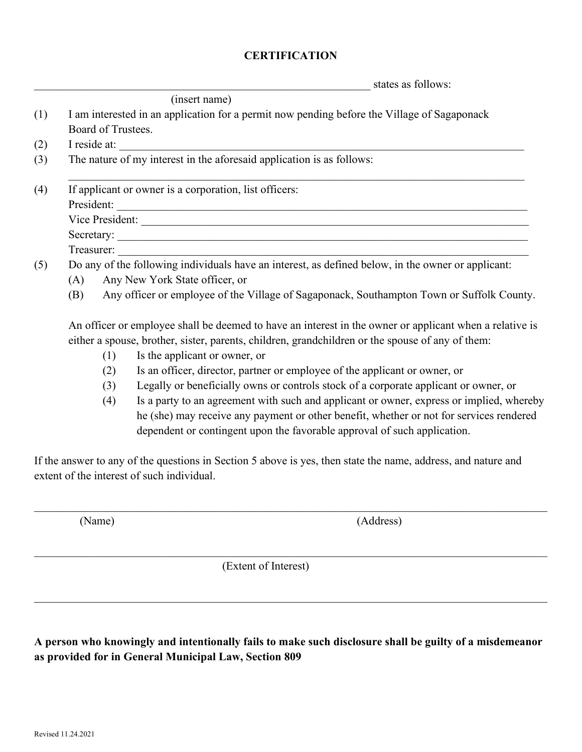#### **CERTIFICATION**

states as follows:

|     | (insert name)                                                                                                                         |
|-----|---------------------------------------------------------------------------------------------------------------------------------------|
| (1) | I am interested in an application for a permit now pending before the Village of Sagaponack                                           |
|     | Board of Trustees.                                                                                                                    |
| (2) | I reside at:<br><u> 1989 - Johann John Barn, mars ar yn y breninnas y breninnas y breninn ar y breninn ar y breninn ar y breninn </u> |
| (3) | The nature of my interest in the aforesaid application is as follows:                                                                 |
| (4) | If applicant or owner is a corporation, list officers:                                                                                |
|     | President:                                                                                                                            |
|     |                                                                                                                                       |
|     | Secretary:                                                                                                                            |
|     | Treasurer:                                                                                                                            |
| (5) | Do any of the following individuals have an interest, as defined below, in the owner or applicant:                                    |
|     | Any New York State officer, or<br>(A)                                                                                                 |
|     | Any officer or employee of the Village of Sagaponack, Southampton Town or Suffolk County.<br>(B)                                      |
|     | An officer or employee shall be deemed to have an interest in the owner or applicant when a relative is                               |
|     | either a spouse, brother, sister, parents, children, grandchildren or the spouse of any of them:                                      |
|     | Is the applicant or owner, or<br>(1)                                                                                                  |
|     |                                                                                                                                       |

- (2) Is an officer, director, partner or employee of the applicant or owner, or
- (3) Legally or beneficially owns or controls stock of a corporate applicant or owner, or
- (4) Is a party to an agreement with such and applicant or owner, express or implied, whereby he (she) may receive any payment or other benefit, whether or not for services rendered dependent or contingent upon the favorable approval of such application.

If the answer to any of the questions in Section 5 above is yes, then state the name, address, and nature and extent of the interest of such individual.

(Name) (Address)

(Extent of Interest)

**A person who knowingly and intentionally fails to make such disclosure shall be guilty of a misdemeanor as provided for in General Municipal Law, Section 809**

 $\_$  , and the set of the set of the set of the set of the set of the set of the set of the set of the set of the set of the set of the set of the set of the set of the set of the set of the set of the set of the set of th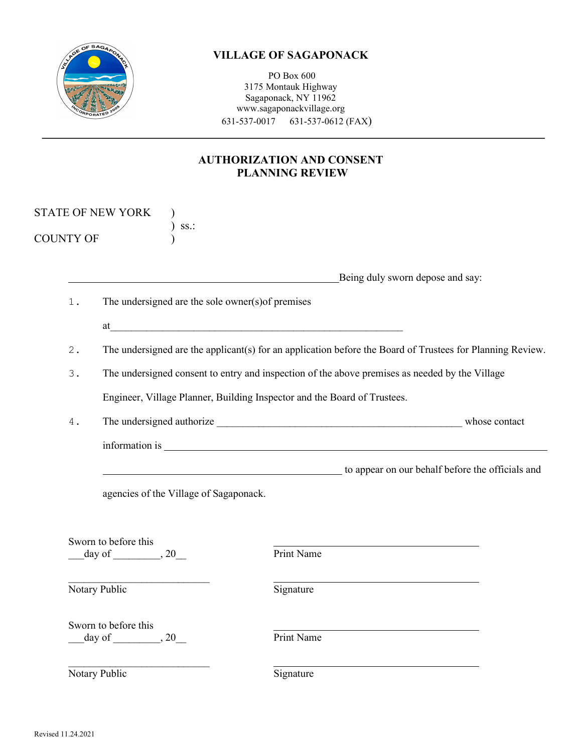

PO Box 600 3175 Montauk Highway Sagaponack, NY 11962 www.sagaponackvillage.org 631-537-0017 631-537-0612 (FAX)

### **AUTHORIZATION AND CONSENT PLANNING REVIEW**

|                  | <b>STATE OF NEW YORK</b><br>SS.                   |                                                                                                                                                                                                                                |
|------------------|---------------------------------------------------|--------------------------------------------------------------------------------------------------------------------------------------------------------------------------------------------------------------------------------|
| <b>COUNTY OF</b> |                                                   |                                                                                                                                                                                                                                |
|                  |                                                   | Being duly sworn depose and say:                                                                                                                                                                                               |
| $1$ .            | The undersigned are the sole owner(s) of premises |                                                                                                                                                                                                                                |
|                  |                                                   | $\mathbf{a}$ $\qquad \qquad$                                                                                                                                                                                                   |
| 2.               |                                                   | The undersigned are the applicant(s) for an application before the Board of Trustees for Planning Review.                                                                                                                      |
| $3$ .            |                                                   | The undersigned consent to entry and inspection of the above premises as needed by the Village                                                                                                                                 |
|                  |                                                   | Engineer, Village Planner, Building Inspector and the Board of Trustees.                                                                                                                                                       |
| $4$ .            |                                                   |                                                                                                                                                                                                                                |
|                  |                                                   | information is experience of the state of the state of the state of the state of the state of the state of the state of the state of the state of the state of the state of the state of the state of the state of the state o |
|                  |                                                   | to appear on our behalf before the officials and                                                                                                                                                                               |
|                  | agencies of the Village of Sagaponack.            |                                                                                                                                                                                                                                |
|                  |                                                   |                                                                                                                                                                                                                                |
|                  | Sworn to before this                              |                                                                                                                                                                                                                                |
|                  |                                                   | Print Name                                                                                                                                                                                                                     |
|                  | Notary Public                                     | Signature                                                                                                                                                                                                                      |
|                  | Sworn to before this                              | Print Name                                                                                                                                                                                                                     |
|                  |                                                   |                                                                                                                                                                                                                                |
|                  | Notary Public                                     | Signature                                                                                                                                                                                                                      |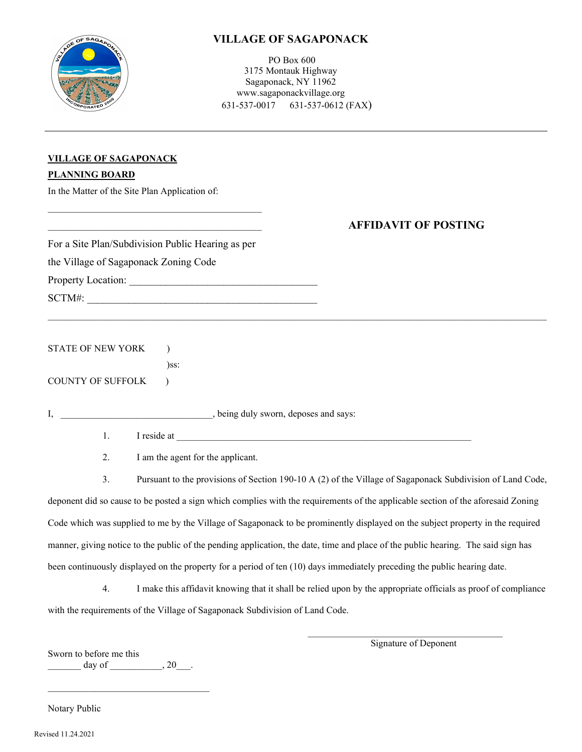

PO Box 600 3175 Montauk Highway Sagaponack, NY 11962 www.sagaponackvillage.org 631-537-0017 631-537-0612 (FAX)

| VILLAGE OF SAGAPONACK |  |
|-----------------------|--|
| <b>PLANNING BOARD</b> |  |

In the Matter of the Site Plan Application of:

|                                       | For a Site Plan/Subdivision Public Hearing as per | <b>AFFIDAVIT OF POSTING</b>                                                                                                      |
|---------------------------------------|---------------------------------------------------|----------------------------------------------------------------------------------------------------------------------------------|
| the Village of Sagaponack Zoning Code |                                                   |                                                                                                                                  |
|                                       |                                                   |                                                                                                                                  |
|                                       |                                                   |                                                                                                                                  |
|                                       |                                                   |                                                                                                                                  |
| <b>STATE OF NEW YORK</b>              |                                                   |                                                                                                                                  |
|                                       | $)$ ss:                                           |                                                                                                                                  |
| <b>COUNTY OF SUFFOLK</b>              |                                                   |                                                                                                                                  |
|                                       |                                                   |                                                                                                                                  |
| 1.                                    |                                                   |                                                                                                                                  |
| 2.                                    | I am the agent for the applicant.                 |                                                                                                                                  |
| 3.                                    |                                                   | Pursuant to the provisions of Section 190-10 A (2) of the Village of Sagaponack Subdivision of Land Code,                        |
|                                       |                                                   | deponent did so cause to be posted a sign which complies with the requirements of the applicable section of the aforesaid Zoning |
|                                       |                                                   | Code which was supplied to me by the Village of Sagaponack to be prominently displayed on the subject property in the required   |

manner, giving notice to the public of the pending application, the date, time and place of the public hearing. The said sign has been continuously displayed on the property for a period of ten (10) days immediately preceding the public hearing date.

4. I make this affidavit knowing that it shall be relied upon by the appropriate officials as proof of compliance with the requirements of the Village of Sagaponack Subdivision of Land Code.

Sworn to before me this  $\qquad \qquad \text{day of} \qquad \qquad .$ 

\_\_\_\_\_\_\_\_\_\_\_\_\_\_\_\_\_\_\_\_\_\_\_\_\_\_\_\_\_\_\_\_\_\_

Signature of Deponent

 $\_$  . The contribution of the contribution of  $\mathcal{L}_\mathcal{A}$ 

Notary Public